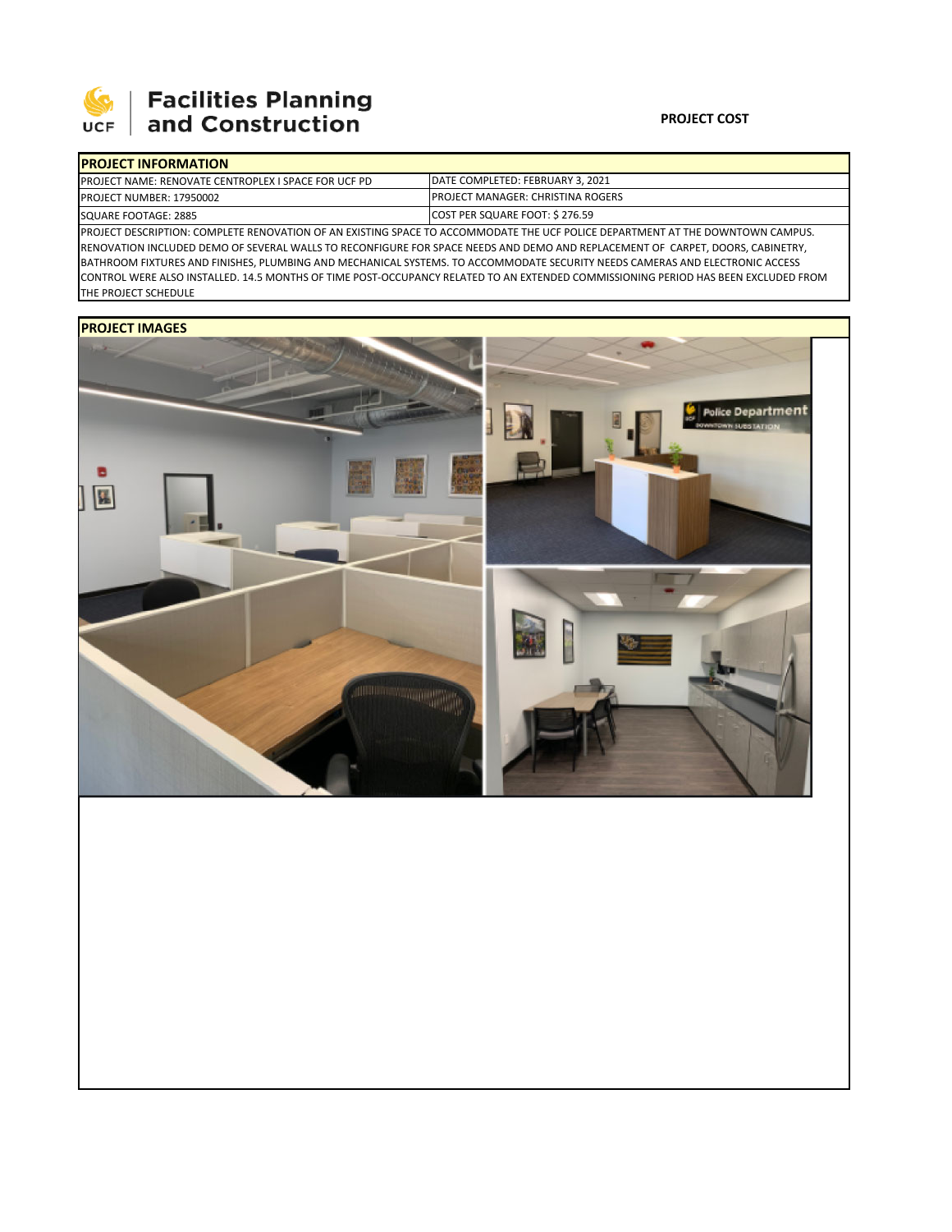

# Facilities Planning<br>and Construction

### **PROJECT COST**

| <b>PROJECT INFORMATION</b>                                                                                                       |                                           |  |  |  |  |
|----------------------------------------------------------------------------------------------------------------------------------|-------------------------------------------|--|--|--|--|
| <b>IPROJECT NAME: RENOVATE CENTROPLEX I SPACE FOR UCF PD</b>                                                                     | DATE COMPLETED: FEBRUARY 3, 2021          |  |  |  |  |
| <b>PROJECT NUMBER: 17950002</b>                                                                                                  | <b>IPROJECT MANAGER: CHRISTINA ROGERS</b> |  |  |  |  |
| SQUARE FOOTAGE: 2885                                                                                                             | COST PER SQUARE FOOT: \$276.59            |  |  |  |  |
| IDROIECT DESCRIPTION: COMPLETE RENOVATION OF AN EXISTING SPACE TO ACCOMMODATE THE LICE ROLLER DERARTMENT AT THE DOWNTOWN CAMPLIS |                                           |  |  |  |  |

ION: COMPLETE RENOVATION OF AN EXISTING SPACE TO ACCOMMODATE THE UCF POLICE DEPARTMENT AT THE DOWNTOWN CAMPUS. RENOVATION INCLUDED DEMO OF SEVERAL WALLS TO RECONFIGURE FOR SPACE NEEDS AND DEMO AND REPLACEMENT OF CARPET, DOORS, CABINETRY, BATHROOM FIXTURES AND FINISHES, PLUMBING AND MECHANICAL SYSTEMS. TO ACCOMMODATE SECURITY NEEDS CAMERAS AND ELECTRONIC ACCESS CONTROL WERE ALSO INSTALLED. 14.5 MONTHS OF TIME POST‐OCCUPANCY RELATED TO AN EXTENDED COMMISSIONING PERIOD HAS BEEN EXCLUDED FROM THE PROJECT SCHEDULE

## **PROJECT IMAGES**